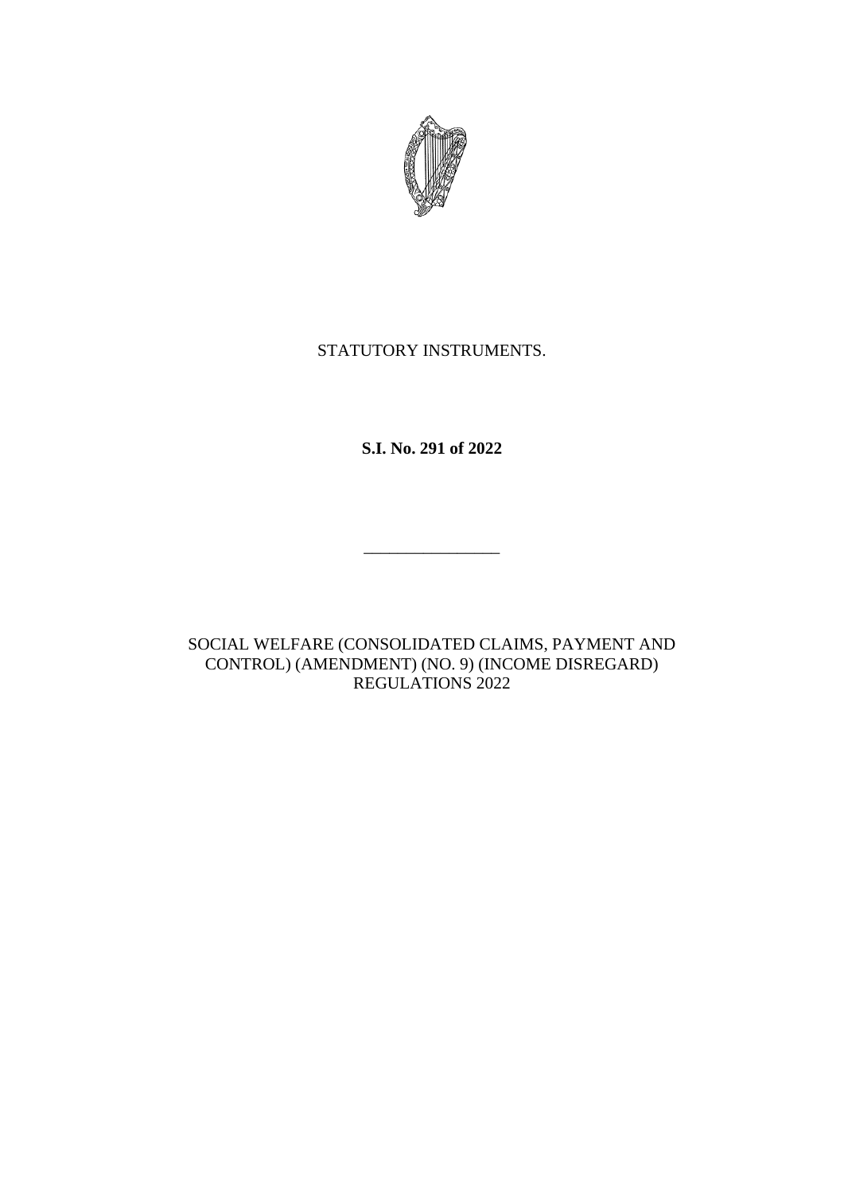

# STATUTORY INSTRUMENTS.

**S.I. No. 291 of 2022**

\_\_\_\_\_\_\_\_\_\_\_\_\_\_\_\_

SOCIAL WELFARE (CONSOLIDATED CLAIMS, PAYMENT AND CONTROL) (AMENDMENT) (NO. 9) (INCOME DISREGARD) REGULATIONS 2022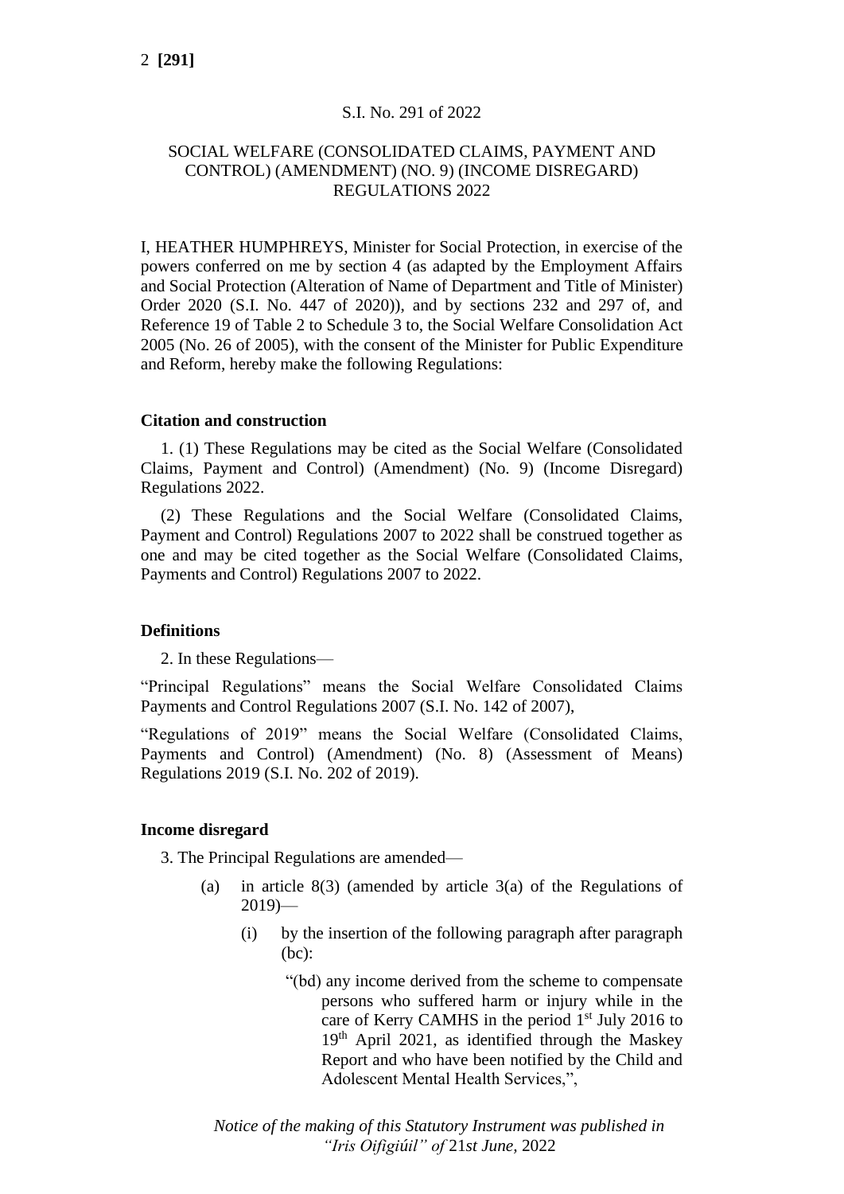#### S.I. No. 291 of 2022

### SOCIAL WELFARE (CONSOLIDATED CLAIMS, PAYMENT AND CONTROL) (AMENDMENT) (NO. 9) (INCOME DISREGARD) REGULATIONS 2022

I, HEATHER HUMPHREYS, Minister for Social Protection, in exercise of the powers conferred on me by section 4 (as adapted by the Employment Affairs and Social Protection (Alteration of Name of Department and Title of Minister) Order 2020 (S.I. No. 447 of 2020)), and by sections 232 and 297 of, and Reference 19 of Table 2 to Schedule 3 to, the Social Welfare Consolidation Act 2005 (No. 26 of 2005), with the consent of the Minister for Public Expenditure and Reform, hereby make the following Regulations:

#### **Citation and construction**

1. (1) These Regulations may be cited as the Social Welfare (Consolidated Claims, Payment and Control) (Amendment) (No. 9) (Income Disregard) Regulations 2022.

(2) These Regulations and the Social Welfare (Consolidated Claims, Payment and Control) Regulations 2007 to 2022 shall be construed together as one and may be cited together as the Social Welfare (Consolidated Claims, Payments and Control) Regulations 2007 to 2022.

#### **Definitions**

2. In these Regulations—

"Principal Regulations" means the Social Welfare Consolidated Claims Payments and Control Regulations 2007 (S.I. No. 142 of 2007),

"Regulations of 2019" means the Social Welfare (Consolidated Claims, Payments and Control) (Amendment) (No. 8) (Assessment of Means) Regulations 2019 (S.I. No. 202 of 2019).

#### **Income disregard**

3. The Principal Regulations are amended—

- (a) in article 8(3) (amended by article 3(a) of the Regulations of  $2019$ )—
	- (i) by the insertion of the following paragraph after paragraph (bc):
		- "(bd) any income derived from the scheme to compensate persons who suffered harm or injury while in the care of Kerry CAMHS in the period  $1<sup>st</sup>$  July 2016 to 19th April 2021, as identified through the Maskey Report and who have been notified by the Child and Adolescent Mental Health Services,",

*Notice of the making of this Statutory Instrument was published in "Iris Oifigiúil" of* 21*st June,* 2022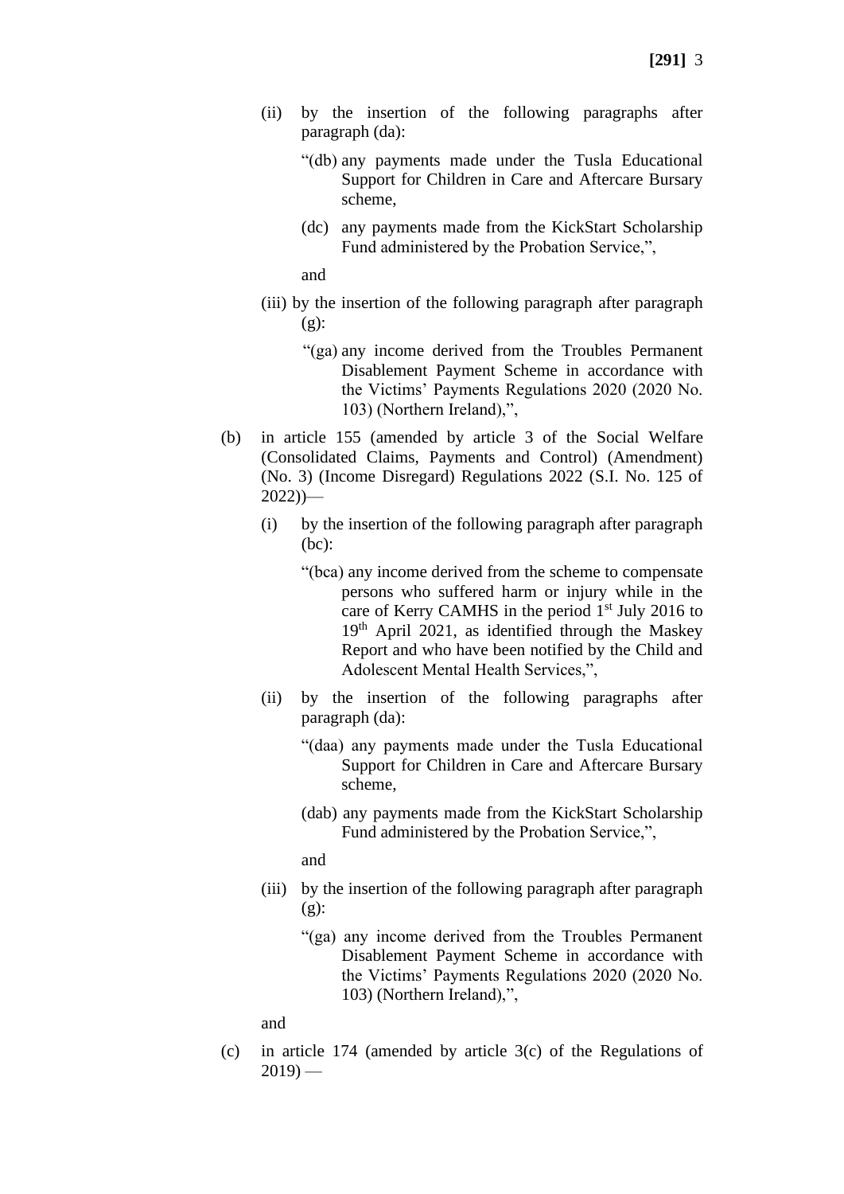- (ii) by the insertion of the following paragraphs after paragraph (da):
	- "(db) any payments made under the Tusla Educational Support for Children in Care and Aftercare Bursary scheme,
	- (dc) any payments made from the KickStart Scholarship Fund administered by the Probation Service,",

and

- (iii) by the insertion of the following paragraph after paragraph (g):
	- "(ga) any income derived from the Troubles Permanent Disablement Payment Scheme in accordance with the Victims' Payments Regulations 2020 (2020 No. 103) (Northern Ireland),",
- (b) in article 155 (amended by article 3 of the Social Welfare (Consolidated Claims, Payments and Control) (Amendment) (No. 3) (Income Disregard) Regulations 2022 (S.I. No. 125 of  $2022)$ )—
	- (i) by the insertion of the following paragraph after paragraph (bc):
		- "(bca) any income derived from the scheme to compensate persons who suffered harm or injury while in the care of Kerry CAMHS in the period  $1<sup>st</sup>$  July 2016 to 19th April 2021, as identified through the Maskey Report and who have been notified by the Child and Adolescent Mental Health Services,",
	- (ii) by the insertion of the following paragraphs after paragraph (da):
		- "(daa) any payments made under the Tusla Educational Support for Children in Care and Aftercare Bursary scheme,
		- (dab) any payments made from the KickStart Scholarship Fund administered by the Probation Service,",

and

- (iii) by the insertion of the following paragraph after paragraph (g):
	- "(ga) any income derived from the Troubles Permanent Disablement Payment Scheme in accordance with the Victims' Payments Regulations 2020 (2020 No. 103) (Northern Ireland),",

and

(c) in article 174 (amended by article 3(c) of the Regulations of  $2019$ ) —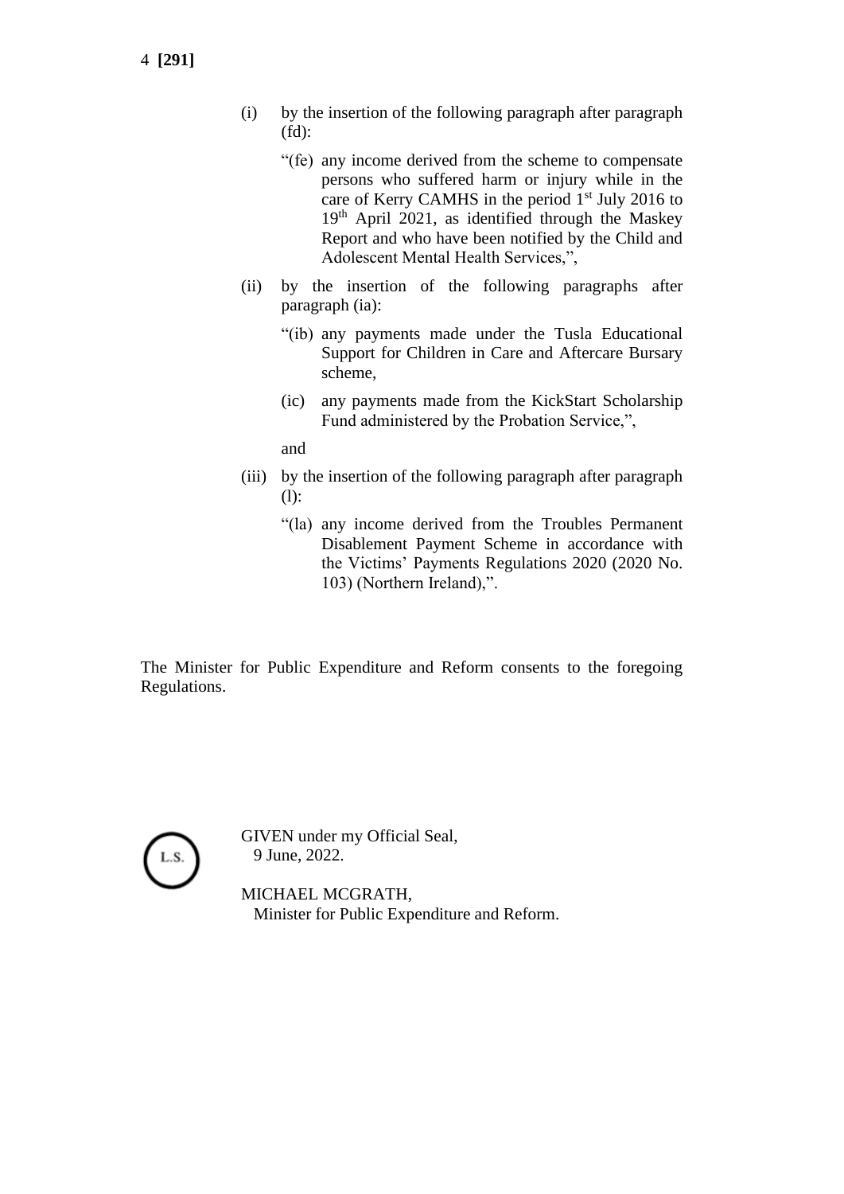- 4 **[291]**
- (i) by the insertion of the following paragraph after paragraph (fd):
	- "(fe) any income derived from the scheme to compensate persons who suffered harm or injury while in the care of Kerry CAMHS in the period 1<sup>st</sup> July 2016 to 19th April 2021, as identified through the Maskey Report and who have been notified by the Child and Adolescent Mental Health Services,",
- (ii) by the insertion of the following paragraphs after paragraph (ia):
	- "(ib) any payments made under the Tusla Educational Support for Children in Care and Aftercare Bursary scheme,
	- (ic) any payments made from the KickStart Scholarship Fund administered by the Probation Service,",

and

- (iii) by the insertion of the following paragraph after paragraph (l):
	- "(la) any income derived from the Troubles Permanent Disablement Payment Scheme in accordance with the Victims' Payments Regulations 2020 (2020 No. 103) (Northern Ireland),".

The Minister for Public Expenditure and Reform consents to the foregoing Regulations.



GIVEN under my Official Seal, 9 June, 2022.

MICHAEL MCGRATH, Minister for Public Expenditure and Reform.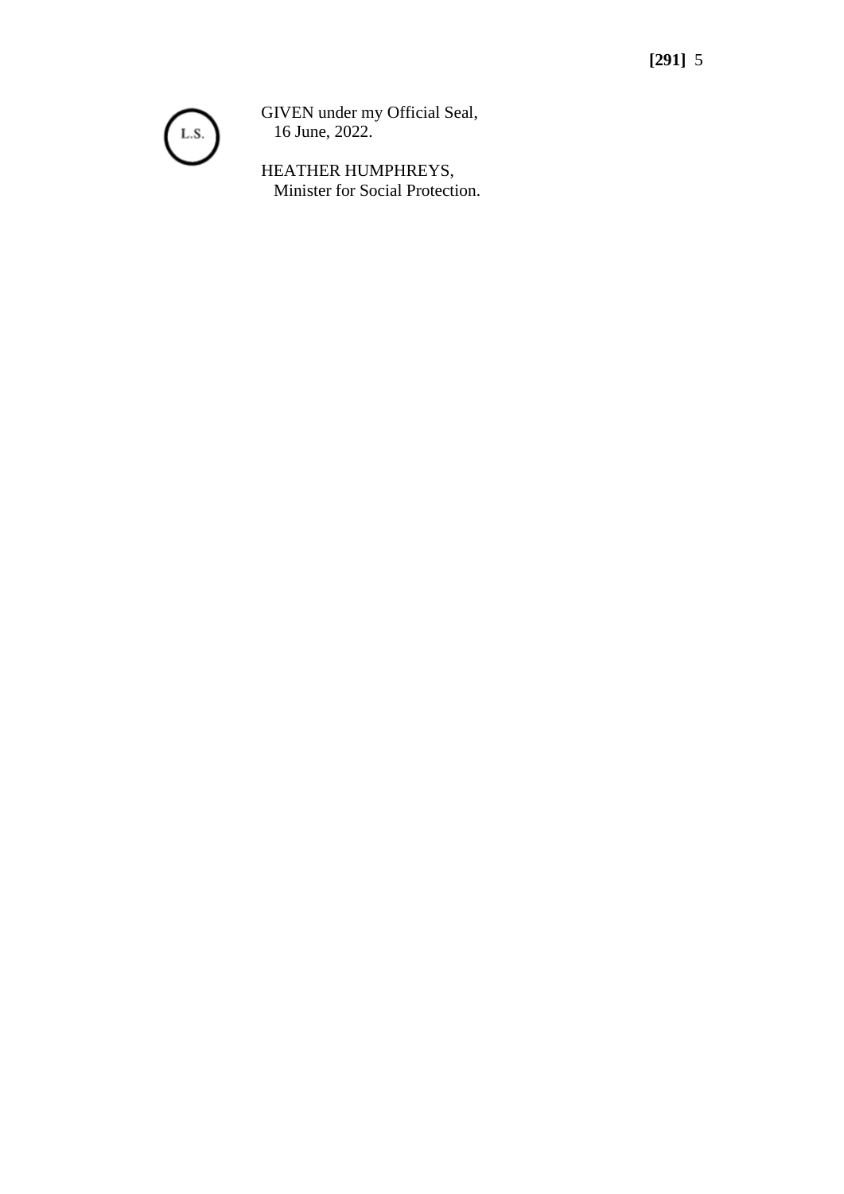

GIVEN under my Official Seal, 16 June, 2022.

HEATHER HUMPHREYS, Minister for Social Protection.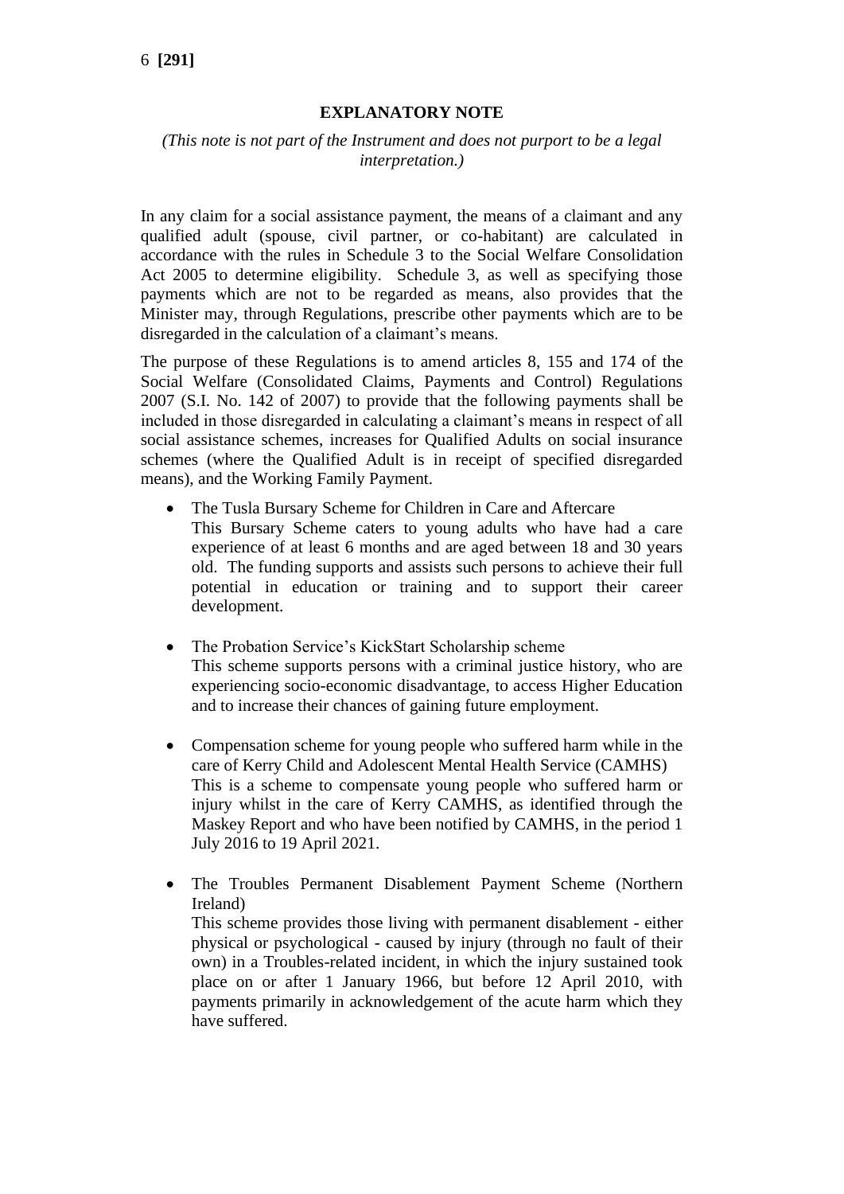## **EXPLANATORY NOTE**

## *(This note is not part of the Instrument and does not purport to be a legal interpretation.)*

In any claim for a social assistance payment, the means of a claimant and any qualified adult (spouse, civil partner, or co-habitant) are calculated in accordance with the rules in Schedule 3 to the Social Welfare Consolidation Act 2005 to determine eligibility. Schedule 3, as well as specifying those payments which are not to be regarded as means, also provides that the Minister may, through Regulations, prescribe other payments which are to be disregarded in the calculation of a claimant's means.

The purpose of these Regulations is to amend articles 8, 155 and 174 of the Social Welfare (Consolidated Claims, Payments and Control) Regulations 2007 (S.I. No. 142 of 2007) to provide that the following payments shall be included in those disregarded in calculating a claimant's means in respect of all social assistance schemes, increases for Qualified Adults on social insurance schemes (where the Qualified Adult is in receipt of specified disregarded means), and the Working Family Payment.

- The Tusla Bursary Scheme for Children in Care and Aftercare This Bursary Scheme caters to young adults who have had a care experience of at least 6 months and are aged between 18 and 30 years old. The funding supports and assists such persons to achieve their full potential in education or training and to support their career development.
- The Probation Service's KickStart Scholarship scheme This scheme supports persons with a criminal justice history, who are experiencing socio-economic disadvantage, to access Higher Education and to increase their chances of gaining future employment.
- Compensation scheme for young people who suffered harm while in the care of Kerry Child and Adolescent Mental Health Service (CAMHS) This is a scheme to compensate young people who suffered harm or injury whilst in the care of Kerry CAMHS, as identified through the Maskey Report and who have been notified by CAMHS, in the period 1 July 2016 to 19 April 2021.
- The Troubles Permanent Disablement Payment Scheme (Northern Ireland) This scheme provides those living with permanent disablement - either physical or psychological - caused by injury (through no fault of their own) in a Troubles-related incident, in which the injury sustained took place on or after 1 January 1966, but before 12 April 2010, with payments primarily in acknowledgement of the acute harm which they have suffered.